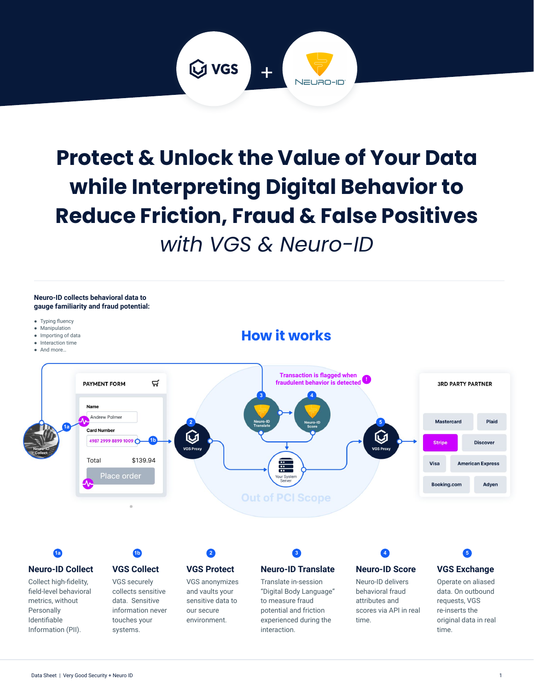

# **Protect & Unlock the Value of Your Data while Interpreting Digital Behavior to Reduce Friction, Fraud & False Positives**  *with VGS & Neuro-ID*





to measure fraud potential and friction experienced during the

interaction.

sensitive data to our secure environment.

requests, VGS re-inserts the original data in real time.

attributes and scores via API in real

time.

metrics, without Personally Identifiable Information (PII). data. Sensitive information never touches your systems.